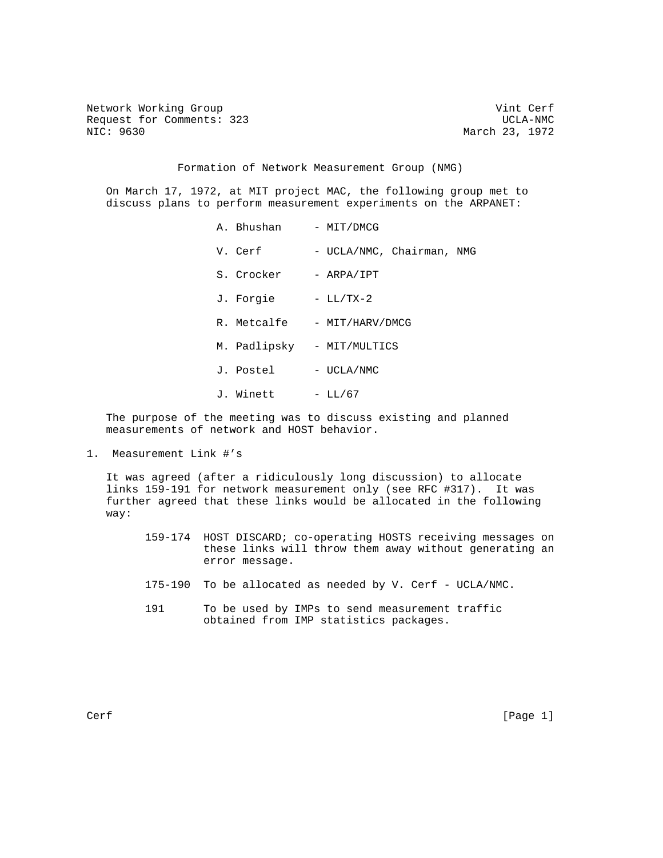Network Working Group and Cerf vint Cerf vint Cerf vint Cerf vint Cerf vint Cerf vint Cerf vint Cerf vint Cerf Request for Comments: 323 UCLA-NMC<br>NIC: 9630 UCLA-NMC

March 23, 1972

Formation of Network Measurement Group (NMG)

 On March 17, 1972, at MIT project MAC, the following group met to discuss plans to perform measurement experiments on the ARPANET:

> A. Bhushan - MIT/DMCG V. Cerf - UCLA/NMC, Chairman, NMG S. Crocker - ARPA/IPT J. Forgie - LL/TX-2 R. Metcalfe - MIT/HARV/DMCG M. Padlipsky - MIT/MULTICS J. Postel - UCLA/NMC J. Winett - LL/67

 The purpose of the meeting was to discuss existing and planned measurements of network and HOST behavior.

1. Measurement Link #'s

 It was agreed (after a ridiculously long discussion) to allocate links 159-191 for network measurement only (see RFC #317). It was further agreed that these links would be allocated in the following way:

- 159-174 HOST DISCARD; co-operating HOSTS receiving messages on these links will throw them away without generating an error message.
- 175-190 To be allocated as needed by V. Cerf UCLA/NMC.
- 191 To be used by IMPs to send measurement traffic obtained from IMP statistics packages.

Cerf [Page 1]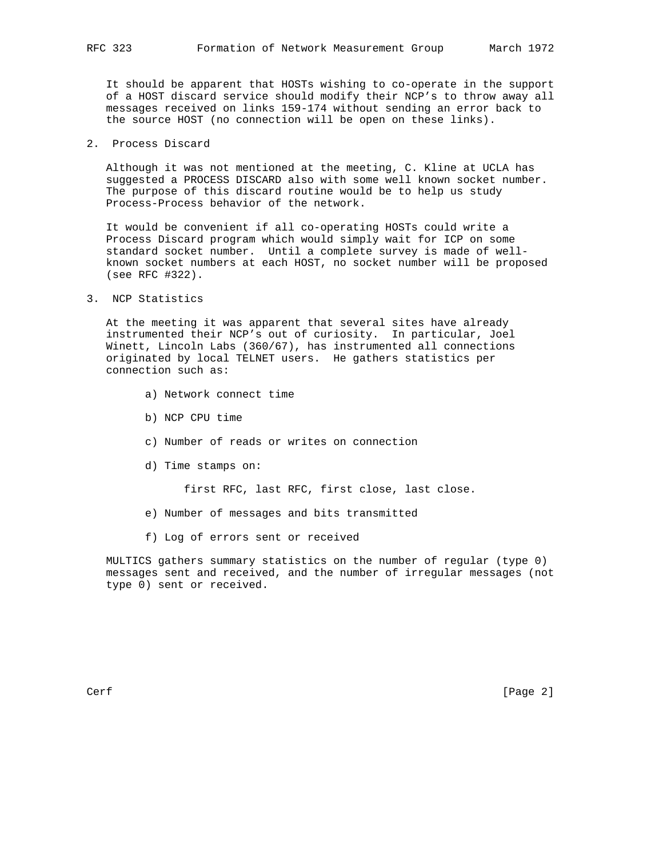It should be apparent that HOSTs wishing to co-operate in the support of a HOST discard service should modify their NCP's to throw away all messages received on links 159-174 without sending an error back to the source HOST (no connection will be open on these links).

2. Process Discard

 Although it was not mentioned at the meeting, C. Kline at UCLA has suggested a PROCESS DISCARD also with some well known socket number. The purpose of this discard routine would be to help us study Process-Process behavior of the network.

 It would be convenient if all co-operating HOSTs could write a Process Discard program which would simply wait for ICP on some standard socket number. Until a complete survey is made of well known socket numbers at each HOST, no socket number will be proposed (see RFC #322).

3. NCP Statistics

 At the meeting it was apparent that several sites have already instrumented their NCP's out of curiosity. In particular, Joel Winett, Lincoln Labs (360/67), has instrumented all connections originated by local TELNET users. He gathers statistics per connection such as:

- a) Network connect time
- b) NCP CPU time
- c) Number of reads or writes on connection
- d) Time stamps on:

first RFC, last RFC, first close, last close.

- e) Number of messages and bits transmitted
- f) Log of errors sent or received

 MULTICS gathers summary statistics on the number of regular (type 0) messages sent and received, and the number of irregular messages (not type 0) sent or received.

Cerf [Page 2]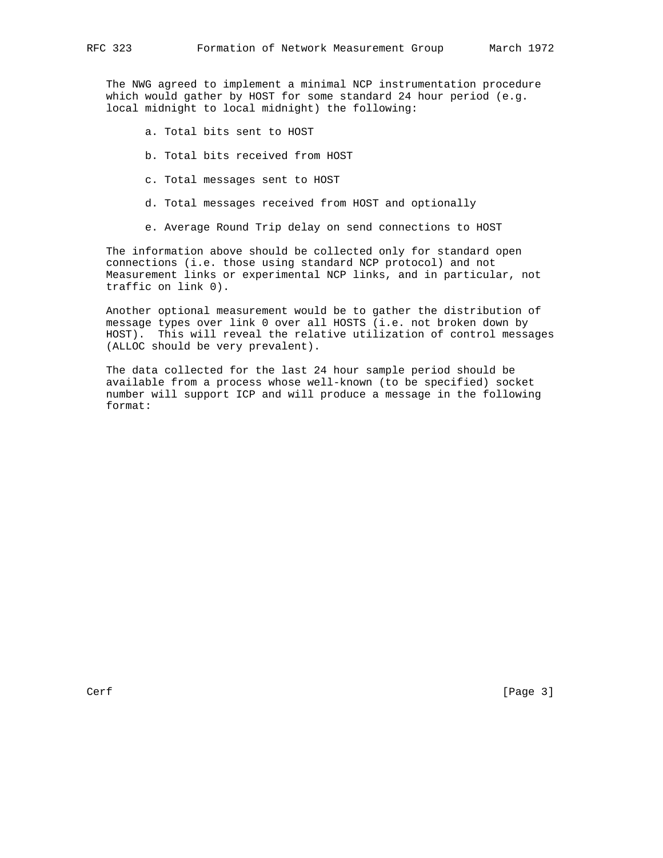The NWG agreed to implement a minimal NCP instrumentation procedure which would gather by HOST for some standard 24 hour period (e.g. local midnight to local midnight) the following:

- a. Total bits sent to HOST
- b. Total bits received from HOST
- c. Total messages sent to HOST
- d. Total messages received from HOST and optionally
- e. Average Round Trip delay on send connections to HOST

 The information above should be collected only for standard open connections (i.e. those using standard NCP protocol) and not Measurement links or experimental NCP links, and in particular, not traffic on link 0).

 Another optional measurement would be to gather the distribution of message types over link 0 over all HOSTS (i.e. not broken down by HOST). This will reveal the relative utilization of control messages (ALLOC should be very prevalent).

 The data collected for the last 24 hour sample period should be available from a process whose well-known (to be specified) socket number will support ICP and will produce a message in the following format: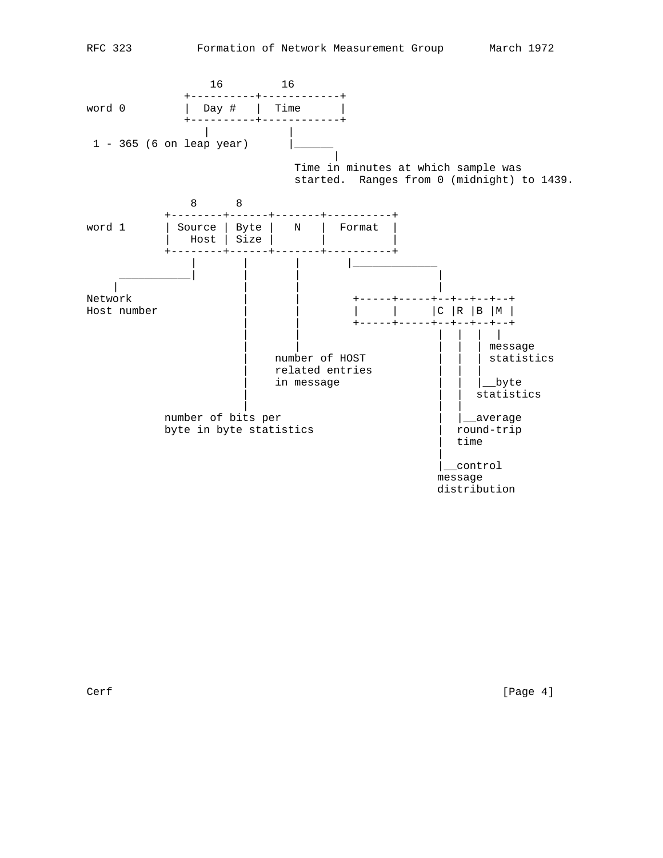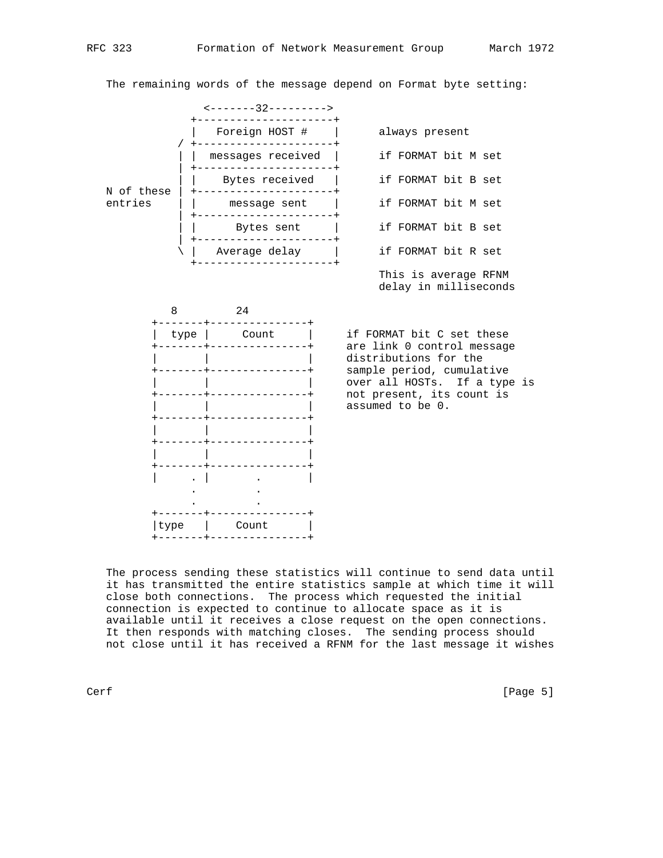The remaining words of the message depend on Format byte setting:





 The process sending these statistics will continue to send data until it has transmitted the entire statistics sample at which time it will close both connections. The process which requested the initial connection is expected to continue to allocate space as it is available until it receives a close request on the open connections. It then responds with matching closes. The sending process should not close until it has received a RFNM for the last message it wishes

+-------+---------------+

Cerf [Page 5]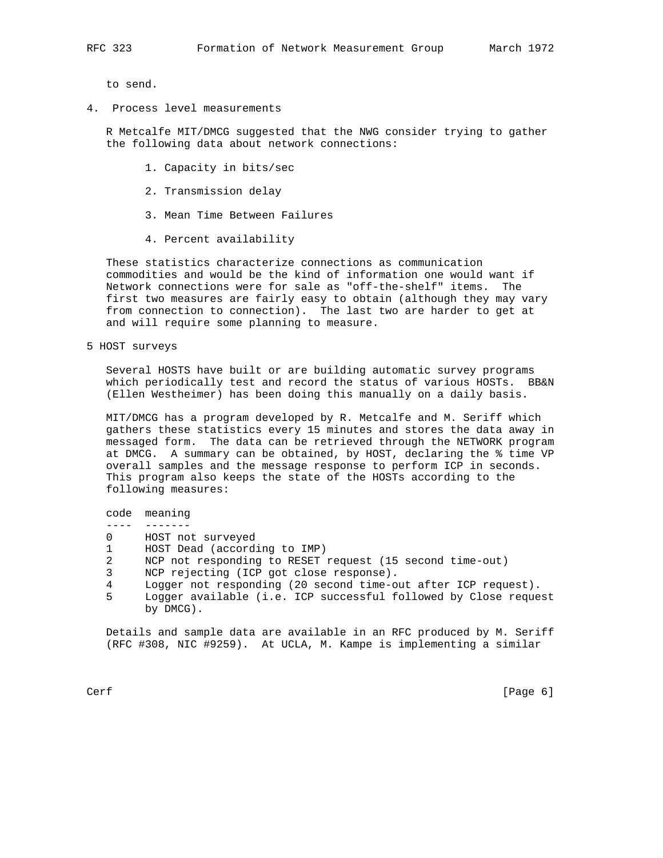to send.

4. Process level measurements

 R Metcalfe MIT/DMCG suggested that the NWG consider trying to gather the following data about network connections:

- 1. Capacity in bits/sec
- 2. Transmission delay
- 3. Mean Time Between Failures
- 4. Percent availability

 These statistics characterize connections as communication commodities and would be the kind of information one would want if Network connections were for sale as "off-the-shelf" items. The first two measures are fairly easy to obtain (although they may vary from connection to connection). The last two are harder to get at and will require some planning to measure.

5 HOST surveys

 Several HOSTS have built or are building automatic survey programs which periodically test and record the status of various HOSTs. BB&N (Ellen Westheimer) has been doing this manually on a daily basis.

 MIT/DMCG has a program developed by R. Metcalfe and M. Seriff which gathers these statistics every 15 minutes and stores the data away in messaged form. The data can be retrieved through the NETWORK program at DMCG. A summary can be obtained, by HOST, declaring the % time VP overall samples and the message response to perform ICP in seconds. This program also keeps the state of the HOSTs according to the following measures:

code meaning

- ---- -------
- 0 HOST not surveyed
- 1 HOST Dead (according to IMP)
- 2 NCP not responding to RESET request (15 second time-out)
- 3 NCP rejecting (ICP got close response).
- 4 Logger not responding (20 second time-out after ICP request).
- 5 Logger available (i.e. ICP successful followed by Close request by DMCG).

 Details and sample data are available in an RFC produced by M. Seriff (RFC #308, NIC #9259). At UCLA, M. Kampe is implementing a similar

Cerf [Page 6]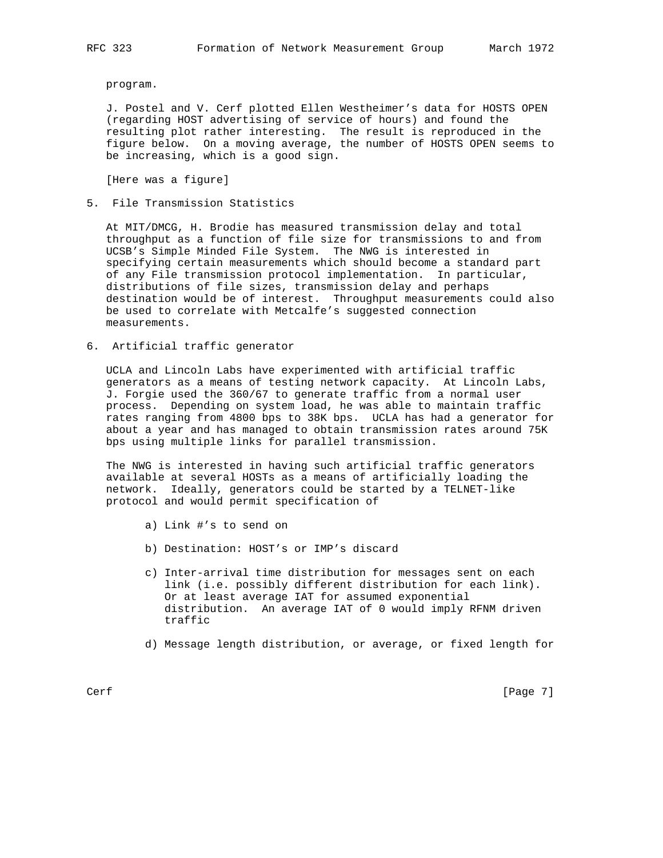program.

 J. Postel and V. Cerf plotted Ellen Westheimer's data for HOSTS OPEN (regarding HOST advertising of service of hours) and found the resulting plot rather interesting. The result is reproduced in the figure below. On a moving average, the number of HOSTS OPEN seems to be increasing, which is a good sign.

[Here was a figure]

5. File Transmission Statistics

 At MIT/DMCG, H. Brodie has measured transmission delay and total throughput as a function of file size for transmissions to and from UCSB's Simple Minded File System. The NWG is interested in specifying certain measurements which should become a standard part of any File transmission protocol implementation. In particular, distributions of file sizes, transmission delay and perhaps destination would be of interest. Throughput measurements could also be used to correlate with Metcalfe's suggested connection measurements.

6. Artificial traffic generator

 UCLA and Lincoln Labs have experimented with artificial traffic generators as a means of testing network capacity. At Lincoln Labs, J. Forgie used the 360/67 to generate traffic from a normal user process. Depending on system load, he was able to maintain traffic rates ranging from 4800 bps to 38K bps. UCLA has had a generator for about a year and has managed to obtain transmission rates around 75K bps using multiple links for parallel transmission.

 The NWG is interested in having such artificial traffic generators available at several HOSTs as a means of artificially loading the network. Ideally, generators could be started by a TELNET-like protocol and would permit specification of

- a) Link #'s to send on
- b) Destination: HOST's or IMP's discard
- c) Inter-arrival time distribution for messages sent on each link (i.e. possibly different distribution for each link). Or at least average IAT for assumed exponential distribution. An average IAT of 0 would imply RFNM driven traffic
- d) Message length distribution, or average, or fixed length for

Cerf [Page 7]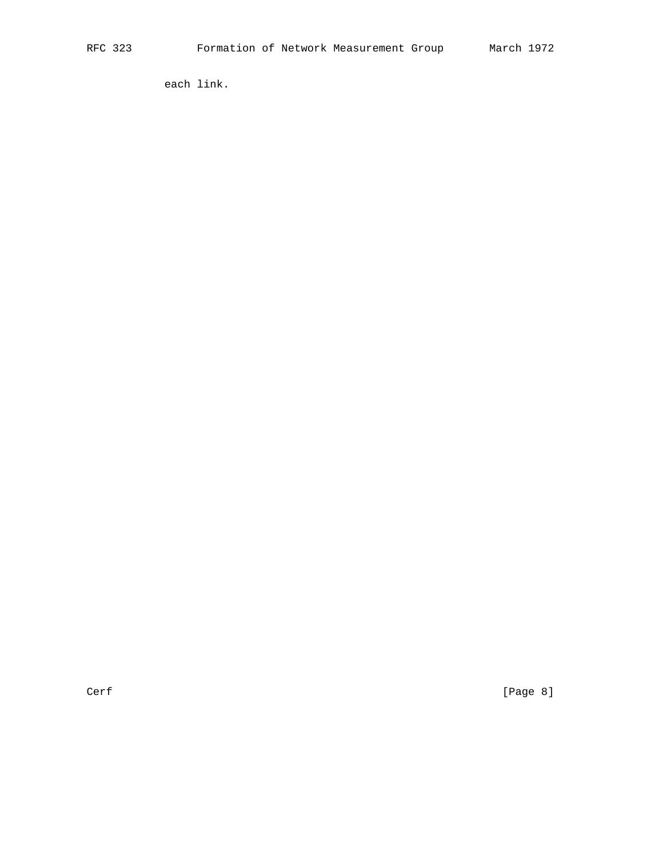each link.

Cerf [Page 8]